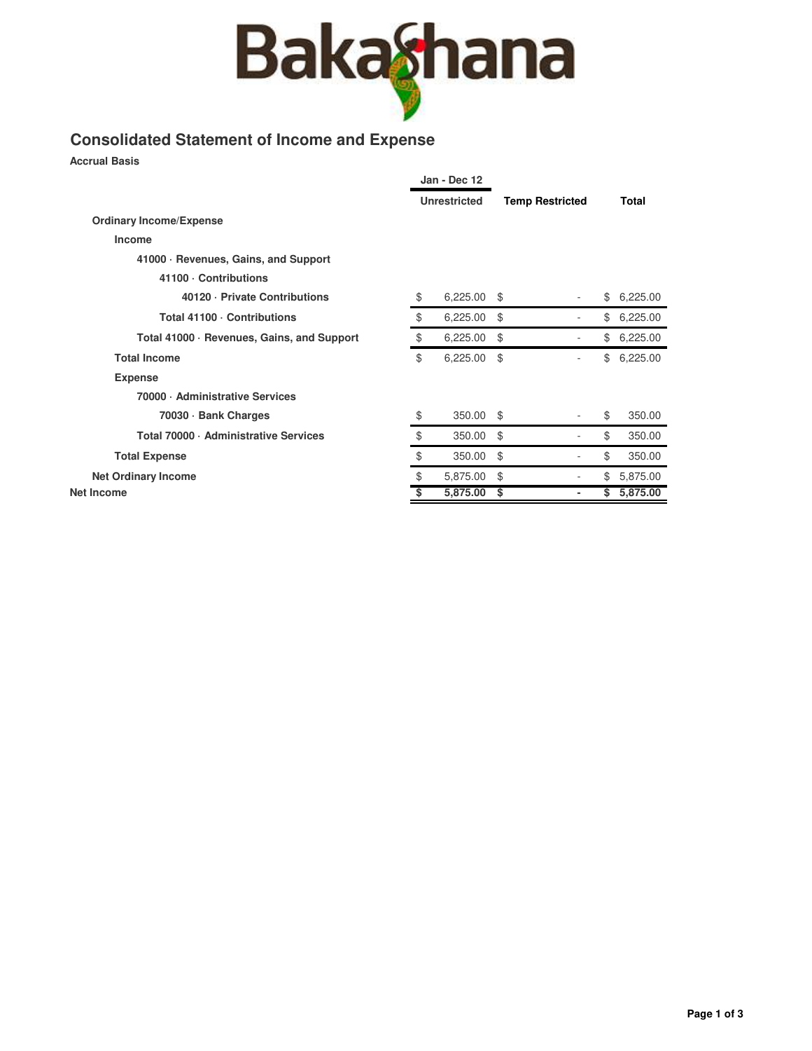

## **Consolidated Statement of Income and Expense**

**Accrual Basis**

|                                            |                     | Jan - Dec 12 |                        |                |                |  |
|--------------------------------------------|---------------------|--------------|------------------------|----------------|----------------|--|
|                                            | <b>Unrestricted</b> |              | <b>Temp Restricted</b> |                | Total          |  |
| <b>Ordinary Income/Expense</b>             |                     |              |                        |                |                |  |
| Income                                     |                     |              |                        |                |                |  |
| 41000 · Revenues, Gains, and Support       |                     |              |                        |                |                |  |
| 41100 · Contributions                      |                     |              |                        |                |                |  |
| 40120 · Private Contributions              | \$                  | 6,225.00     | \$                     |                | \$<br>6,225.00 |  |
| Total 41100 · Contributions                | \$                  | 6,225.00     | \$                     |                | \$<br>6,225.00 |  |
| Total 41000 · Revenues, Gains, and Support | \$                  | 6,225.00     | \$                     |                | \$<br>6,225.00 |  |
| <b>Total Income</b>                        | \$                  | 6,225.00     | \$                     | ÷              | \$<br>6,225.00 |  |
| <b>Expense</b>                             |                     |              |                        |                |                |  |
| 70000 · Administrative Services            |                     |              |                        |                |                |  |
| 70030 · Bank Charges                       | \$                  | 350.00       | \$                     |                | \$<br>350.00   |  |
| Total 70000 · Administrative Services      | \$                  | 350.00       | \$                     |                | \$<br>350.00   |  |
| <b>Total Expense</b>                       | \$                  | 350.00       | \$                     |                | \$<br>350.00   |  |
| <b>Net Ordinary Income</b>                 | \$                  | 5,875.00     | \$                     |                | \$<br>5,875.00 |  |
| Net Income                                 | \$                  | 5,875.00     | \$                     | $\blacksquare$ | \$<br>5,875.00 |  |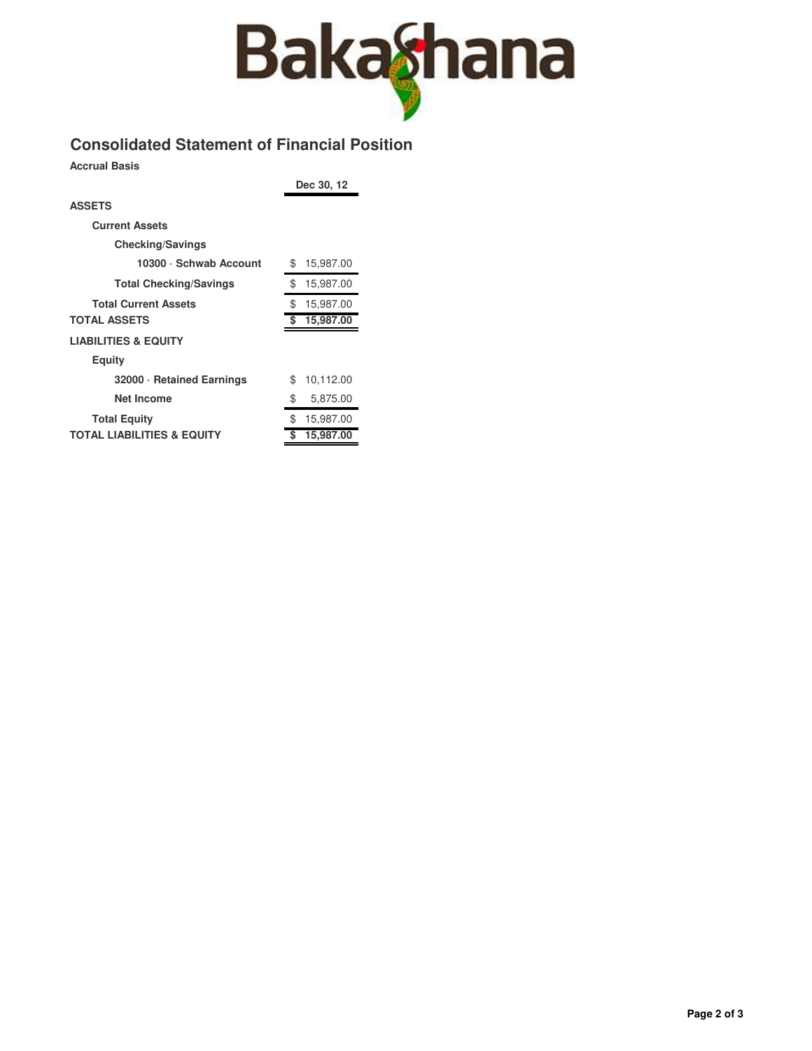

## **Consolidated Statement of Financial Position**

**Accrual Basis**

**Dec 30, 12**

| <b>ASSETS</b>                         |                 |
|---------------------------------------|-----------------|
| <b>Current Assets</b>                 |                 |
| <b>Checking/Savings</b>               |                 |
| 10300 · Schwab Account                | \$<br>15,987.00 |
| <b>Total Checking/Savings</b>         | \$<br>15,987.00 |
| <b>Total Current Assets</b>           | \$<br>15,987.00 |
| <b>TOTAL ASSETS</b>                   | 15,987.00<br>\$ |
| <b>LIABILITIES &amp; EQUITY</b>       |                 |
| Equity                                |                 |
| 32000 · Retained Earnings             | 10,112.00<br>\$ |
| Net Income                            | \$<br>5,875.00  |
| <b>Total Equity</b>                   | 15,987.00<br>\$ |
| <b>TOTAL LIABILITIES &amp; EQUITY</b> | \$<br>15,987.00 |